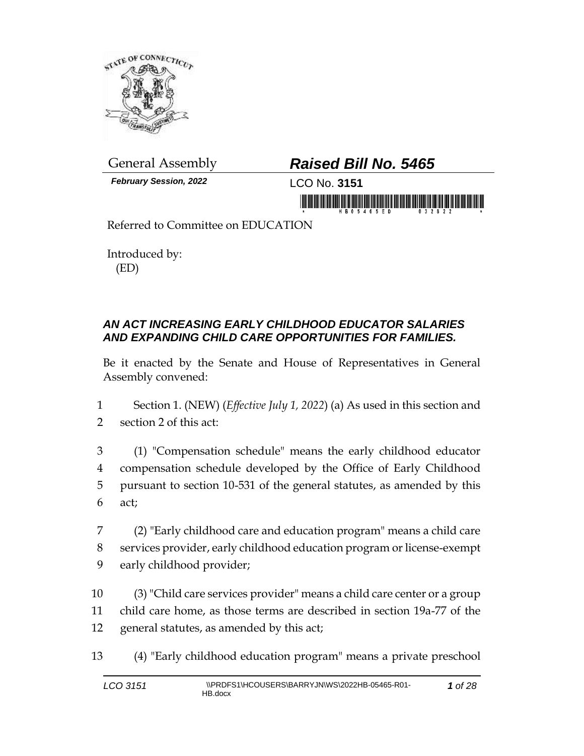

*February Session, 2022* LCO No. **3151**

# General Assembly *Raised Bill No. 5465*

in morning friends in the monitor is a statement

Referred to Committee on EDUCATION

Introduced by: (ED)

### *AN ACT INCREASING EARLY CHILDHOOD EDUCATOR SALARIES AND EXPANDING CHILD CARE OPPORTUNITIES FOR FAMILIES.*

Be it enacted by the Senate and House of Representatives in General Assembly convened:

1 Section 1. (NEW) (*Effective July 1, 2022*) (a) As used in this section and 2 section 2 of this act:

 (1) "Compensation schedule" means the early childhood educator compensation schedule developed by the Office of Early Childhood pursuant to section 10-531 of the general statutes, as amended by this 6 act;

7 (2) "Early childhood care and education program" means a child care 8 services provider, early childhood education program or license-exempt 9 early childhood provider;

10 (3) "Child care services provider" means a child care center or a group 11 child care home, as those terms are described in section 19a-77 of the 12 general statutes, as amended by this act;

13 (4) "Early childhood education program" means a private preschool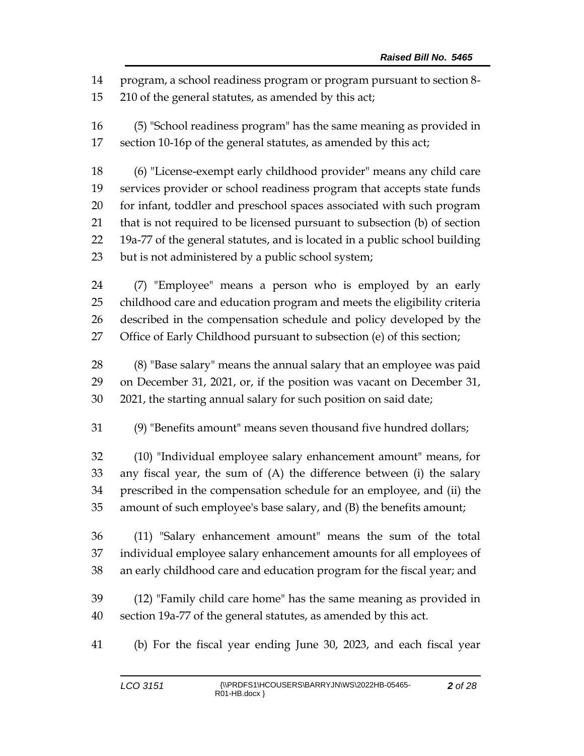program, a school readiness program or program pursuant to section 8-

210 of the general statutes, as amended by this act;

 (5) "School readiness program" has the same meaning as provided in section 10-16p of the general statutes, as amended by this act;

 (6) "License-exempt early childhood provider" means any child care services provider or school readiness program that accepts state funds for infant, toddler and preschool spaces associated with such program that is not required to be licensed pursuant to subsection (b) of section 19a-77 of the general statutes, and is located in a public school building but is not administered by a public school system;

 (7) "Employee" means a person who is employed by an early childhood care and education program and meets the eligibility criteria described in the compensation schedule and policy developed by the Office of Early Childhood pursuant to subsection (e) of this section;

 (8) "Base salary" means the annual salary that an employee was paid on December 31, 2021, or, if the position was vacant on December 31, 2021, the starting annual salary for such position on said date;

(9) "Benefits amount" means seven thousand five hundred dollars;

 (10) "Individual employee salary enhancement amount" means, for any fiscal year, the sum of (A) the difference between (i) the salary prescribed in the compensation schedule for an employee, and (ii) the amount of such employee's base salary, and (B) the benefits amount;

 (11) "Salary enhancement amount" means the sum of the total individual employee salary enhancement amounts for all employees of an early childhood care and education program for the fiscal year; and

 (12) "Family child care home" has the same meaning as provided in section 19a-77 of the general statutes, as amended by this act.

(b) For the fiscal year ending June 30, 2023, and each fiscal year

*of 28*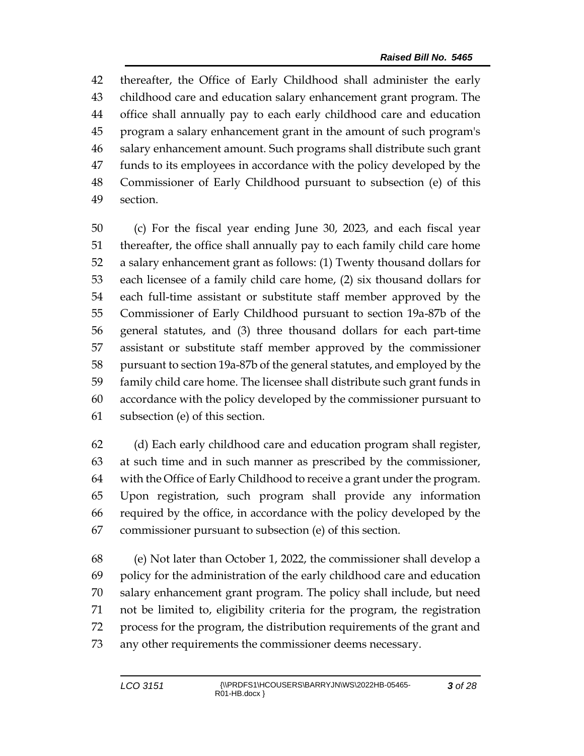thereafter, the Office of Early Childhood shall administer the early childhood care and education salary enhancement grant program. The office shall annually pay to each early childhood care and education program a salary enhancement grant in the amount of such program's salary enhancement amount. Such programs shall distribute such grant funds to its employees in accordance with the policy developed by the Commissioner of Early Childhood pursuant to subsection (e) of this section.

 (c) For the fiscal year ending June 30, 2023, and each fiscal year thereafter, the office shall annually pay to each family child care home a salary enhancement grant as follows: (1) Twenty thousand dollars for each licensee of a family child care home, (2) six thousand dollars for each full-time assistant or substitute staff member approved by the Commissioner of Early Childhood pursuant to section 19a-87b of the general statutes, and (3) three thousand dollars for each part-time assistant or substitute staff member approved by the commissioner pursuant to section 19a-87b of the general statutes, and employed by the family child care home. The licensee shall distribute such grant funds in accordance with the policy developed by the commissioner pursuant to subsection (e) of this section.

 (d) Each early childhood care and education program shall register, at such time and in such manner as prescribed by the commissioner, with the Office of Early Childhood to receive a grant under the program. Upon registration, such program shall provide any information required by the office, in accordance with the policy developed by the commissioner pursuant to subsection (e) of this section.

 (e) Not later than October 1, 2022, the commissioner shall develop a policy for the administration of the early childhood care and education salary enhancement grant program. The policy shall include, but need not be limited to, eligibility criteria for the program, the registration process for the program, the distribution requirements of the grant and any other requirements the commissioner deems necessary.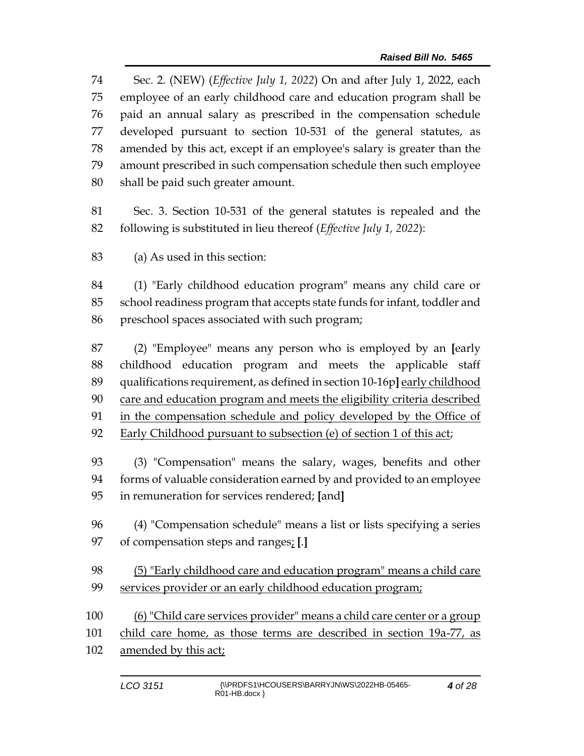Sec. 2. (NEW) (*Effective July 1, 2022*) On and after July 1, 2022, each employee of an early childhood care and education program shall be paid an annual salary as prescribed in the compensation schedule developed pursuant to section 10-531 of the general statutes, as amended by this act, except if an employee's salary is greater than the amount prescribed in such compensation schedule then such employee shall be paid such greater amount.

 Sec. 3. Section 10-531 of the general statutes is repealed and the following is substituted in lieu thereof (*Effective July 1, 2022*):

(a) As used in this section:

 (1) "Early childhood education program" means any child care or school readiness program that accepts state funds for infant, toddler and preschool spaces associated with such program;

 (2) "Employee" means any person who is employed by an **[**early childhood education program and meets the applicable staff 89 qualifications requirement, as defined in section 10-16p] early childhood care and education program and meets the eligibility criteria described in the compensation schedule and policy developed by the Office of Early Childhood pursuant to subsection (e) of section 1 of this act;

 (3) "Compensation" means the salary, wages, benefits and other forms of valuable consideration earned by and provided to an employee in remuneration for services rendered; **[**and**]**

 (4) "Compensation schedule" means a list or lists specifying a series of compensation steps and ranges; **[**.**]**

 (5) "Early childhood care and education program" means a child care services provider or an early childhood education program;

 (6) "Child care services provider" means a child care center or a group child care home, as those terms are described in section 19a-77, as amended by this act;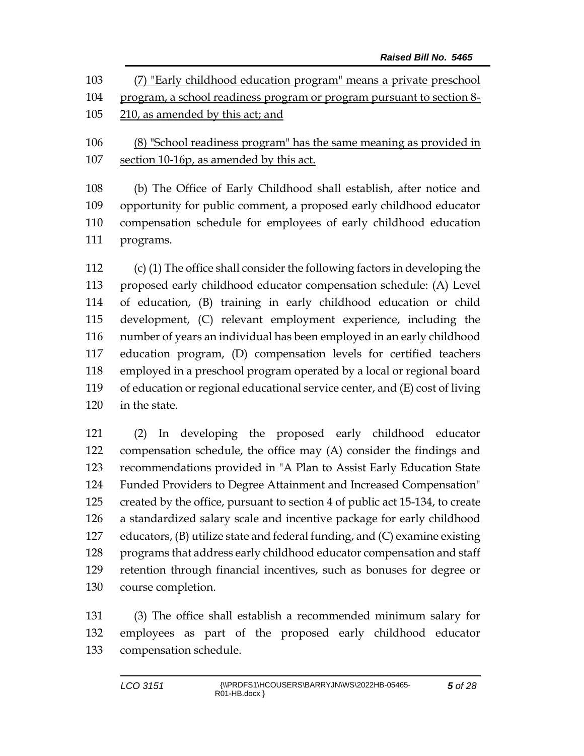| 103 | (7) "Early childhood education program" means a private preschool     |
|-----|-----------------------------------------------------------------------|
| 104 | program, a school readiness program or program pursuant to section 8- |
| 105 | 210, as amended by this act; and                                      |
| 106 | (8) "School readiness program" has the same meaning as provided in    |
| 107 | section 10-16p, as amended by this act.                               |

 (b) The Office of Early Childhood shall establish, after notice and opportunity for public comment, a proposed early childhood educator compensation schedule for employees of early childhood education programs.

 (c) (1) The office shall consider the following factors in developing the proposed early childhood educator compensation schedule: (A) Level of education, (B) training in early childhood education or child development, (C) relevant employment experience, including the number of years an individual has been employed in an early childhood education program, (D) compensation levels for certified teachers employed in a preschool program operated by a local or regional board of education or regional educational service center, and (E) cost of living in the state.

 (2) In developing the proposed early childhood educator compensation schedule, the office may (A) consider the findings and recommendations provided in "A Plan to Assist Early Education State Funded Providers to Degree Attainment and Increased Compensation" created by the office, pursuant to section 4 of public act 15-134, to create a standardized salary scale and incentive package for early childhood educators, (B) utilize state and federal funding, and (C) examine existing programs that address early childhood educator compensation and staff retention through financial incentives, such as bonuses for degree or course completion.

 (3) The office shall establish a recommended minimum salary for employees as part of the proposed early childhood educator compensation schedule.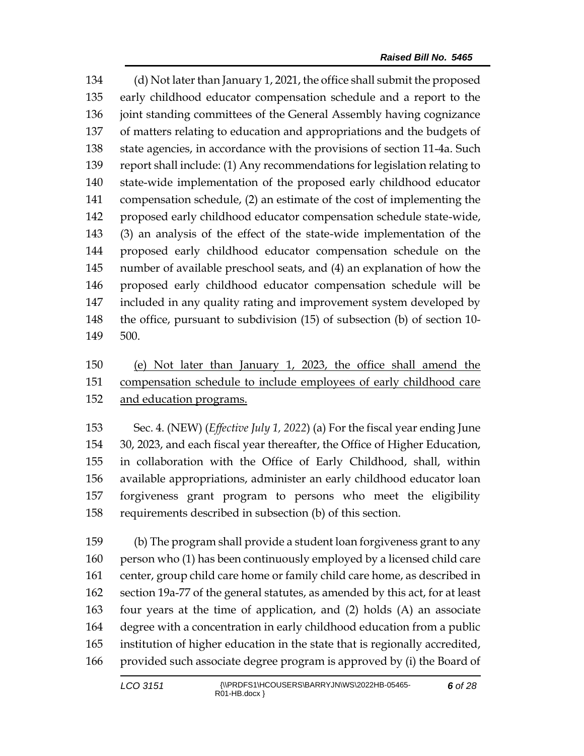(d) Not later than January 1, 2021, the office shall submit the proposed early childhood educator compensation schedule and a report to the joint standing committees of the General Assembly having cognizance of matters relating to education and appropriations and the budgets of state agencies, in accordance with the provisions of section 11-4a. Such report shall include: (1) Any recommendations for legislation relating to state-wide implementation of the proposed early childhood educator compensation schedule, (2) an estimate of the cost of implementing the proposed early childhood educator compensation schedule state-wide, (3) an analysis of the effect of the state-wide implementation of the proposed early childhood educator compensation schedule on the number of available preschool seats, and (4) an explanation of how the proposed early childhood educator compensation schedule will be included in any quality rating and improvement system developed by the office, pursuant to subdivision (15) of subsection (b) of section 10- 500.

## (e) Not later than January 1, 2023, the office shall amend the compensation schedule to include employees of early childhood care and education programs.

 Sec. 4. (NEW) (*Effective July 1, 2022*) (a) For the fiscal year ending June 30, 2023, and each fiscal year thereafter, the Office of Higher Education, in collaboration with the Office of Early Childhood, shall, within available appropriations, administer an early childhood educator loan forgiveness grant program to persons who meet the eligibility requirements described in subsection (b) of this section.

 (b) The program shall provide a student loan forgiveness grant to any person who (1) has been continuously employed by a licensed child care center, group child care home or family child care home, as described in section 19a-77 of the general statutes, as amended by this act, for at least four years at the time of application, and (2) holds (A) an associate degree with a concentration in early childhood education from a public institution of higher education in the state that is regionally accredited, provided such associate degree program is approved by (i) the Board of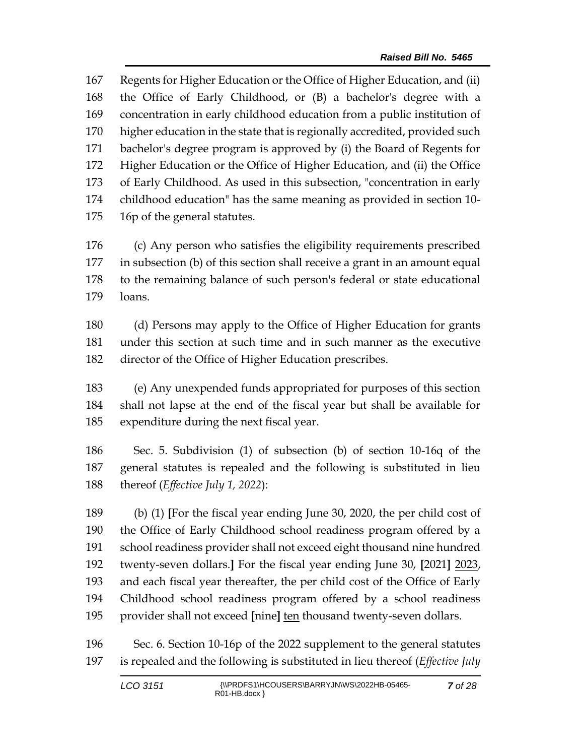Regents for Higher Education or the Office of Higher Education, and (ii) the Office of Early Childhood, or (B) a bachelor's degree with a concentration in early childhood education from a public institution of higher education in the state that is regionally accredited, provided such bachelor's degree program is approved by (i) the Board of Regents for Higher Education or the Office of Higher Education, and (ii) the Office of Early Childhood. As used in this subsection, "concentration in early childhood education" has the same meaning as provided in section 10- 16p of the general statutes.

 (c) Any person who satisfies the eligibility requirements prescribed in subsection (b) of this section shall receive a grant in an amount equal to the remaining balance of such person's federal or state educational loans.

 (d) Persons may apply to the Office of Higher Education for grants under this section at such time and in such manner as the executive director of the Office of Higher Education prescribes.

 (e) Any unexpended funds appropriated for purposes of this section shall not lapse at the end of the fiscal year but shall be available for expenditure during the next fiscal year.

 Sec. 5. Subdivision (1) of subsection (b) of section 10-16q of the general statutes is repealed and the following is substituted in lieu thereof (*Effective July 1, 2022*):

 (b) (1) **[**For the fiscal year ending June 30, 2020, the per child cost of the Office of Early Childhood school readiness program offered by a school readiness provider shall not exceed eight thousand nine hundred twenty-seven dollars.**]** For the fiscal year ending June 30, **[**2021**]** 2023, and each fiscal year thereafter, the per child cost of the Office of Early Childhood school readiness program offered by a school readiness provider shall not exceed **[**nine**]** ten thousand twenty-seven dollars.

 Sec. 6. Section 10-16p of the 2022 supplement to the general statutes is repealed and the following is substituted in lieu thereof (*Effective July*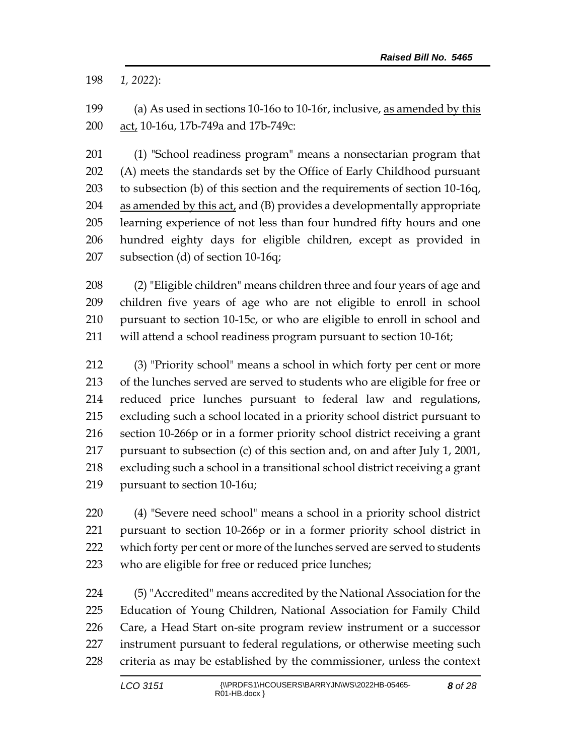*1, 2022*):

 (a) As used in sections 10-16o to 10-16r, inclusive, as amended by this act, 10-16u, 17b-749a and 17b-749c:

 (1) "School readiness program" means a nonsectarian program that (A) meets the standards set by the Office of Early Childhood pursuant to subsection (b) of this section and the requirements of section 10-16q, as amended by this act, and (B) provides a developmentally appropriate learning experience of not less than four hundred fifty hours and one hundred eighty days for eligible children, except as provided in subsection (d) of section 10-16q;

 (2) "Eligible children" means children three and four years of age and children five years of age who are not eligible to enroll in school pursuant to section 10-15c, or who are eligible to enroll in school and will attend a school readiness program pursuant to section 10-16t;

 (3) "Priority school" means a school in which forty per cent or more of the lunches served are served to students who are eligible for free or reduced price lunches pursuant to federal law and regulations, excluding such a school located in a priority school district pursuant to section 10-266p or in a former priority school district receiving a grant pursuant to subsection (c) of this section and, on and after July 1, 2001, excluding such a school in a transitional school district receiving a grant pursuant to section 10-16u;

 (4) "Severe need school" means a school in a priority school district pursuant to section 10-266p or in a former priority school district in which forty per cent or more of the lunches served are served to students who are eligible for free or reduced price lunches;

 (5) "Accredited" means accredited by the National Association for the Education of Young Children, National Association for Family Child Care, a Head Start on-site program review instrument or a successor instrument pursuant to federal regulations, or otherwise meeting such criteria as may be established by the commissioner, unless the context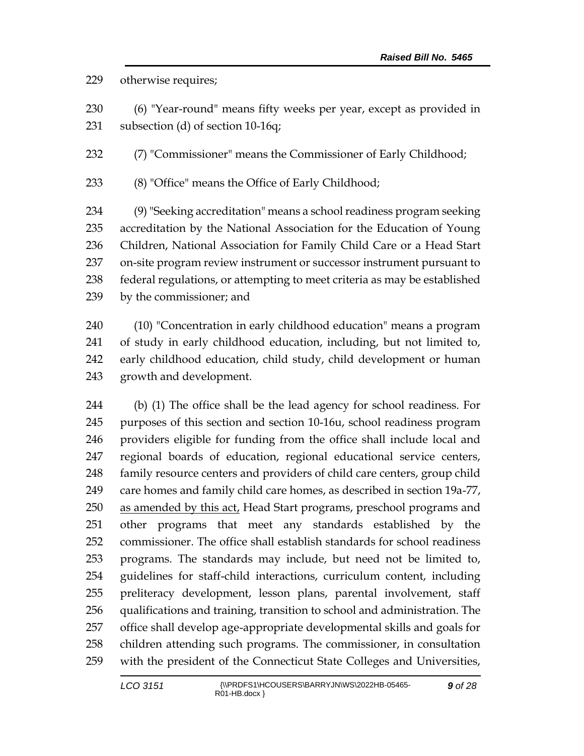#### otherwise requires;

 (6) "Year-round" means fifty weeks per year, except as provided in subsection (d) of section 10-16q;

(7) "Commissioner" means the Commissioner of Early Childhood;

(8) "Office" means the Office of Early Childhood;

 (9) "Seeking accreditation" means a school readiness program seeking accreditation by the National Association for the Education of Young Children, National Association for Family Child Care or a Head Start on-site program review instrument or successor instrument pursuant to federal regulations, or attempting to meet criteria as may be established by the commissioner; and

 (10) "Concentration in early childhood education" means a program of study in early childhood education, including, but not limited to, early childhood education, child study, child development or human growth and development.

 (b) (1) The office shall be the lead agency for school readiness. For purposes of this section and section 10-16u, school readiness program providers eligible for funding from the office shall include local and regional boards of education, regional educational service centers, family resource centers and providers of child care centers, group child care homes and family child care homes, as described in section 19a-77, 250 as amended by this act, Head Start programs, preschool programs and other programs that meet any standards established by the commissioner. The office shall establish standards for school readiness programs. The standards may include, but need not be limited to, guidelines for staff-child interactions, curriculum content, including preliteracy development, lesson plans, parental involvement, staff qualifications and training, transition to school and administration. The office shall develop age-appropriate developmental skills and goals for children attending such programs. The commissioner, in consultation with the president of the Connecticut State Colleges and Universities,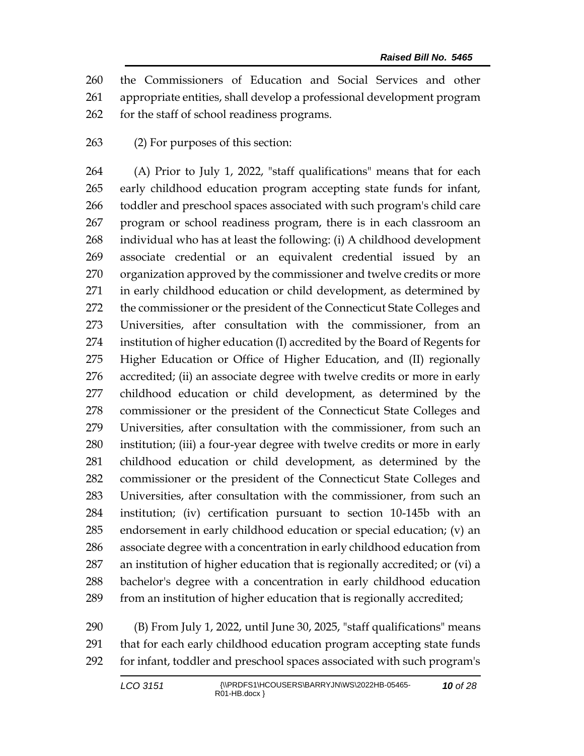the Commissioners of Education and Social Services and other appropriate entities, shall develop a professional development program for the staff of school readiness programs.

(2) For purposes of this section:

 (A) Prior to July 1, 2022, "staff qualifications" means that for each early childhood education program accepting state funds for infant, toddler and preschool spaces associated with such program's child care program or school readiness program, there is in each classroom an individual who has at least the following: (i) A childhood development associate credential or an equivalent credential issued by an organization approved by the commissioner and twelve credits or more in early childhood education or child development, as determined by the commissioner or the president of the Connecticut State Colleges and Universities, after consultation with the commissioner, from an institution of higher education (I) accredited by the Board of Regents for Higher Education or Office of Higher Education, and (II) regionally accredited; (ii) an associate degree with twelve credits or more in early childhood education or child development, as determined by the commissioner or the president of the Connecticut State Colleges and Universities, after consultation with the commissioner, from such an institution; (iii) a four-year degree with twelve credits or more in early childhood education or child development, as determined by the commissioner or the president of the Connecticut State Colleges and Universities, after consultation with the commissioner, from such an institution; (iv) certification pursuant to section 10-145b with an endorsement in early childhood education or special education; (v) an associate degree with a concentration in early childhood education from an institution of higher education that is regionally accredited; or (vi) a bachelor's degree with a concentration in early childhood education from an institution of higher education that is regionally accredited;

 (B) From July 1, 2022, until June 30, 2025, "staff qualifications" means that for each early childhood education program accepting state funds for infant, toddler and preschool spaces associated with such program's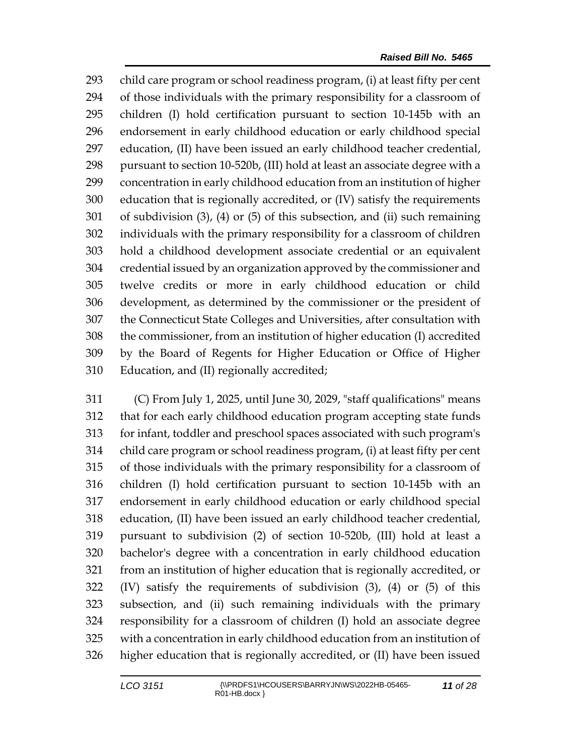child care program or school readiness program, (i) at least fifty per cent of those individuals with the primary responsibility for a classroom of children (I) hold certification pursuant to section 10-145b with an endorsement in early childhood education or early childhood special education, (II) have been issued an early childhood teacher credential, pursuant to section 10-520b, (III) hold at least an associate degree with a concentration in early childhood education from an institution of higher education that is regionally accredited, or (IV) satisfy the requirements of subdivision (3), (4) or (5) of this subsection, and (ii) such remaining individuals with the primary responsibility for a classroom of children hold a childhood development associate credential or an equivalent credential issued by an organization approved by the commissioner and twelve credits or more in early childhood education or child development, as determined by the commissioner or the president of the Connecticut State Colleges and Universities, after consultation with the commissioner, from an institution of higher education (I) accredited by the Board of Regents for Higher Education or Office of Higher Education, and (II) regionally accredited;

 (C) From July 1, 2025, until June 30, 2029, "staff qualifications" means that for each early childhood education program accepting state funds for infant, toddler and preschool spaces associated with such program's child care program or school readiness program, (i) at least fifty per cent of those individuals with the primary responsibility for a classroom of children (I) hold certification pursuant to section 10-145b with an endorsement in early childhood education or early childhood special education, (II) have been issued an early childhood teacher credential, pursuant to subdivision (2) of section 10-520b, (III) hold at least a bachelor's degree with a concentration in early childhood education from an institution of higher education that is regionally accredited, or (IV) satisfy the requirements of subdivision (3), (4) or (5) of this subsection, and (ii) such remaining individuals with the primary responsibility for a classroom of children (I) hold an associate degree with a concentration in early childhood education from an institution of higher education that is regionally accredited, or (II) have been issued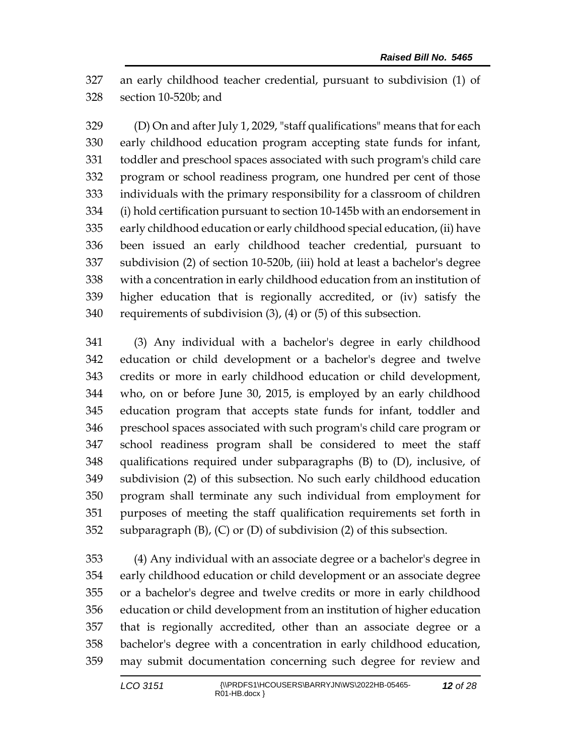an early childhood teacher credential, pursuant to subdivision (1) of section 10-520b; and

 (D) On and after July 1, 2029, "staff qualifications" means that for each early childhood education program accepting state funds for infant, toddler and preschool spaces associated with such program's child care program or school readiness program, one hundred per cent of those individuals with the primary responsibility for a classroom of children (i) hold certification pursuant to section 10-145b with an endorsement in early childhood education or early childhood special education, (ii) have been issued an early childhood teacher credential, pursuant to subdivision (2) of section 10-520b, (iii) hold at least a bachelor's degree with a concentration in early childhood education from an institution of higher education that is regionally accredited, or (iv) satisfy the requirements of subdivision (3), (4) or (5) of this subsection.

 (3) Any individual with a bachelor's degree in early childhood education or child development or a bachelor's degree and twelve credits or more in early childhood education or child development, who, on or before June 30, 2015, is employed by an early childhood education program that accepts state funds for infant, toddler and preschool spaces associated with such program's child care program or school readiness program shall be considered to meet the staff qualifications required under subparagraphs (B) to (D), inclusive, of subdivision (2) of this subsection. No such early childhood education program shall terminate any such individual from employment for purposes of meeting the staff qualification requirements set forth in subparagraph (B), (C) or (D) of subdivision (2) of this subsection.

 (4) Any individual with an associate degree or a bachelor's degree in early childhood education or child development or an associate degree or a bachelor's degree and twelve credits or more in early childhood education or child development from an institution of higher education that is regionally accredited, other than an associate degree or a bachelor's degree with a concentration in early childhood education, may submit documentation concerning such degree for review and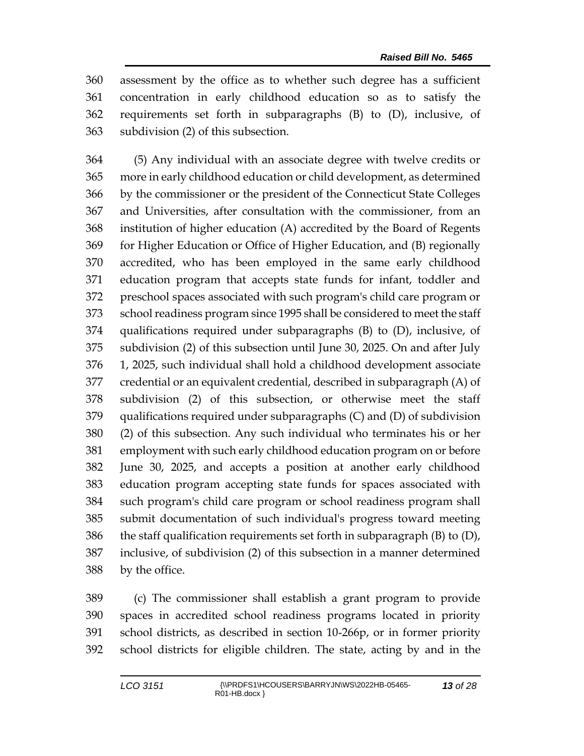assessment by the office as to whether such degree has a sufficient concentration in early childhood education so as to satisfy the requirements set forth in subparagraphs (B) to (D), inclusive, of subdivision (2) of this subsection.

 (5) Any individual with an associate degree with twelve credits or more in early childhood education or child development, as determined by the commissioner or the president of the Connecticut State Colleges and Universities, after consultation with the commissioner, from an institution of higher education (A) accredited by the Board of Regents for Higher Education or Office of Higher Education, and (B) regionally accredited, who has been employed in the same early childhood education program that accepts state funds for infant, toddler and preschool spaces associated with such program's child care program or school readiness program since 1995 shall be considered to meet the staff qualifications required under subparagraphs (B) to (D), inclusive, of subdivision (2) of this subsection until June 30, 2025. On and after July 1, 2025, such individual shall hold a childhood development associate credential or an equivalent credential, described in subparagraph (A) of subdivision (2) of this subsection, or otherwise meet the staff qualifications required under subparagraphs (C) and (D) of subdivision (2) of this subsection. Any such individual who terminates his or her employment with such early childhood education program on or before June 30, 2025, and accepts a position at another early childhood education program accepting state funds for spaces associated with such program's child care program or school readiness program shall submit documentation of such individual's progress toward meeting 386 the staff qualification requirements set forth in subparagraph  $(B)$  to  $(D)$ , inclusive, of subdivision (2) of this subsection in a manner determined by the office.

 (c) The commissioner shall establish a grant program to provide spaces in accredited school readiness programs located in priority school districts, as described in section 10-266p, or in former priority school districts for eligible children. The state, acting by and in the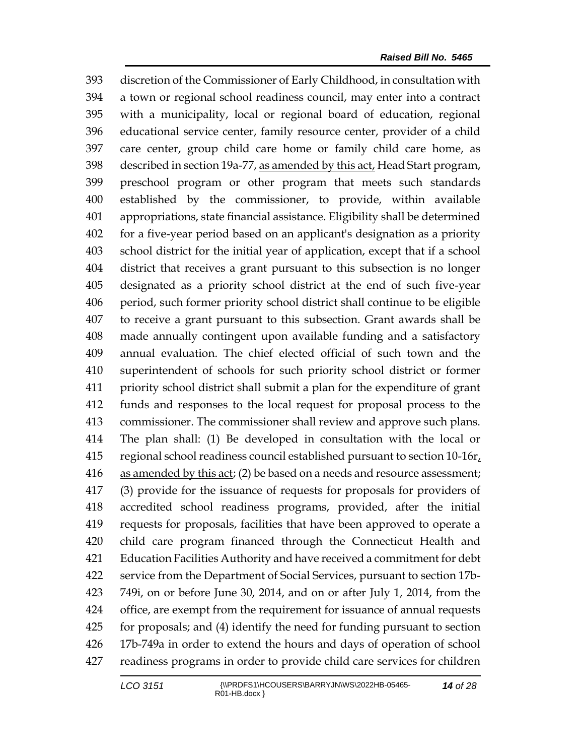discretion of the Commissioner of Early Childhood, in consultation with a town or regional school readiness council, may enter into a contract with a municipality, local or regional board of education, regional educational service center, family resource center, provider of a child care center, group child care home or family child care home, as 398 described in section 19a-77, as amended by this act, Head Start program, preschool program or other program that meets such standards established by the commissioner, to provide, within available appropriations, state financial assistance. Eligibility shall be determined for a five-year period based on an applicant's designation as a priority school district for the initial year of application, except that if a school district that receives a grant pursuant to this subsection is no longer designated as a priority school district at the end of such five-year period, such former priority school district shall continue to be eligible to receive a grant pursuant to this subsection. Grant awards shall be made annually contingent upon available funding and a satisfactory annual evaluation. The chief elected official of such town and the superintendent of schools for such priority school district or former priority school district shall submit a plan for the expenditure of grant funds and responses to the local request for proposal process to the commissioner. The commissioner shall review and approve such plans. The plan shall: (1) Be developed in consultation with the local or 415 regional school readiness council established pursuant to section  $10-16r<sub>t</sub>$  as amended by this act; (2) be based on a needs and resource assessment; (3) provide for the issuance of requests for proposals for providers of accredited school readiness programs, provided, after the initial requests for proposals, facilities that have been approved to operate a child care program financed through the Connecticut Health and Education Facilities Authority and have received a commitment for debt service from the Department of Social Services, pursuant to section 17b- 749i, on or before June 30, 2014, and on or after July 1, 2014, from the office, are exempt from the requirement for issuance of annual requests for proposals; and (4) identify the need for funding pursuant to section 17b-749a in order to extend the hours and days of operation of school readiness programs in order to provide child care services for children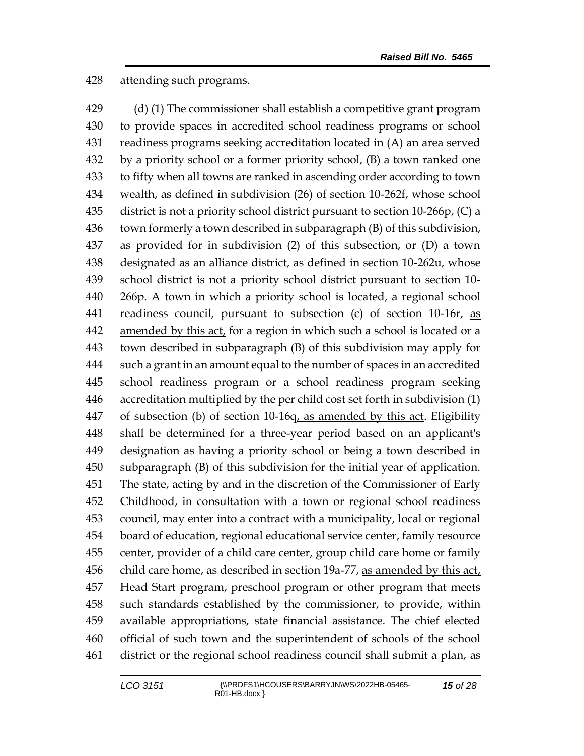attending such programs.

 (d) (1) The commissioner shall establish a competitive grant program to provide spaces in accredited school readiness programs or school readiness programs seeking accreditation located in (A) an area served by a priority school or a former priority school, (B) a town ranked one to fifty when all towns are ranked in ascending order according to town wealth, as defined in subdivision (26) of section 10-262f, whose school district is not a priority school district pursuant to section 10-266p, (C) a town formerly a town described in subparagraph (B) of this subdivision, as provided for in subdivision (2) of this subsection, or (D) a town designated as an alliance district, as defined in section 10-262u, whose school district is not a priority school district pursuant to section 10- 266p. A town in which a priority school is located, a regional school 441 readiness council, pursuant to subsection (c) of section 10-16r, as amended by this act, for a region in which such a school is located or a town described in subparagraph (B) of this subdivision may apply for such a grant in an amount equal to the number of spaces in an accredited school readiness program or a school readiness program seeking accreditation multiplied by the per child cost set forth in subdivision (1) 447 of subsection (b) of section 10-16q, as amended by this act. Eligibility shall be determined for a three-year period based on an applicant's designation as having a priority school or being a town described in subparagraph (B) of this subdivision for the initial year of application. The state, acting by and in the discretion of the Commissioner of Early Childhood, in consultation with a town or regional school readiness council, may enter into a contract with a municipality, local or regional board of education, regional educational service center, family resource center, provider of a child care center, group child care home or family child care home, as described in section 19a-77, as amended by this act, Head Start program, preschool program or other program that meets such standards established by the commissioner, to provide, within available appropriations, state financial assistance. The chief elected official of such town and the superintendent of schools of the school district or the regional school readiness council shall submit a plan, as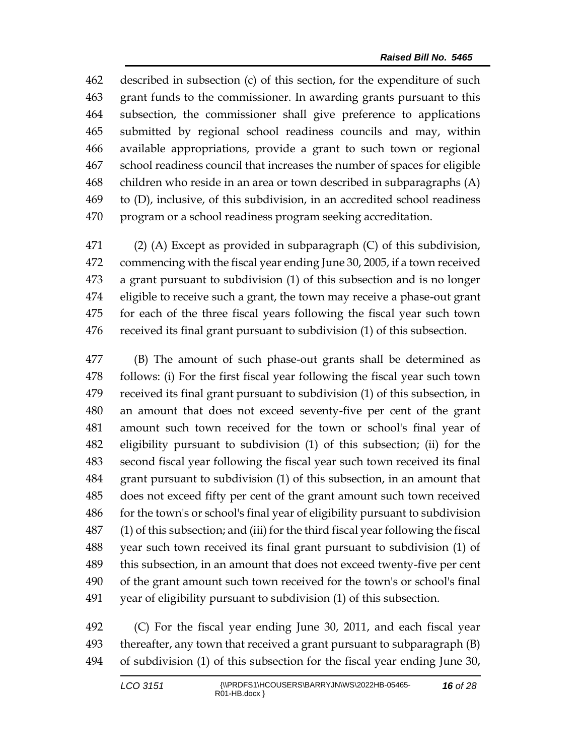described in subsection (c) of this section, for the expenditure of such grant funds to the commissioner. In awarding grants pursuant to this subsection, the commissioner shall give preference to applications submitted by regional school readiness councils and may, within available appropriations, provide a grant to such town or regional school readiness council that increases the number of spaces for eligible children who reside in an area or town described in subparagraphs (A) to (D), inclusive, of this subdivision, in an accredited school readiness program or a school readiness program seeking accreditation.

 (2) (A) Except as provided in subparagraph (C) of this subdivision, commencing with the fiscal year ending June 30, 2005, if a town received a grant pursuant to subdivision (1) of this subsection and is no longer eligible to receive such a grant, the town may receive a phase-out grant for each of the three fiscal years following the fiscal year such town received its final grant pursuant to subdivision (1) of this subsection.

 (B) The amount of such phase-out grants shall be determined as follows: (i) For the first fiscal year following the fiscal year such town received its final grant pursuant to subdivision (1) of this subsection, in an amount that does not exceed seventy-five per cent of the grant amount such town received for the town or school's final year of eligibility pursuant to subdivision (1) of this subsection; (ii) for the second fiscal year following the fiscal year such town received its final grant pursuant to subdivision (1) of this subsection, in an amount that does not exceed fifty per cent of the grant amount such town received for the town's or school's final year of eligibility pursuant to subdivision (1) of this subsection; and (iii) for the third fiscal year following the fiscal year such town received its final grant pursuant to subdivision (1) of this subsection, in an amount that does not exceed twenty-five per cent of the grant amount such town received for the town's or school's final year of eligibility pursuant to subdivision (1) of this subsection.

 (C) For the fiscal year ending June 30, 2011, and each fiscal year thereafter, any town that received a grant pursuant to subparagraph (B) of subdivision (1) of this subsection for the fiscal year ending June 30,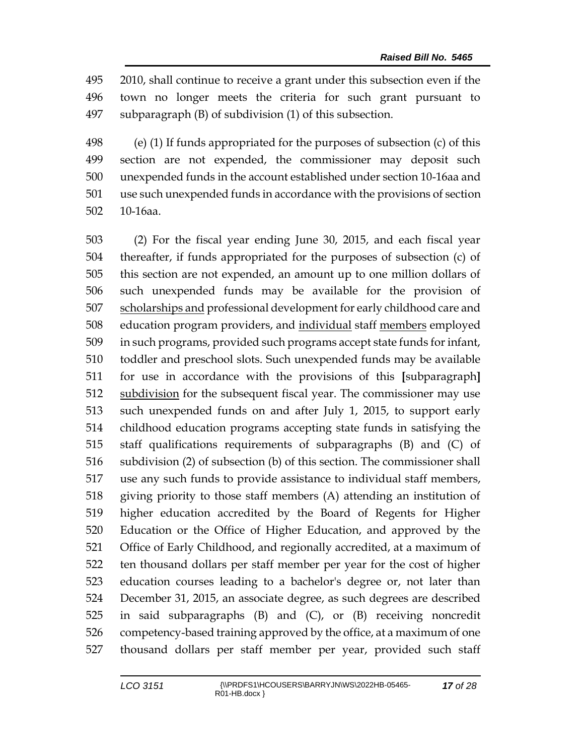2010, shall continue to receive a grant under this subsection even if the town no longer meets the criteria for such grant pursuant to subparagraph (B) of subdivision (1) of this subsection.

 (e) (1) If funds appropriated for the purposes of subsection (c) of this section are not expended, the commissioner may deposit such unexpended funds in the account established under section 10-16aa and use such unexpended funds in accordance with the provisions of section 10-16aa.

 (2) For the fiscal year ending June 30, 2015, and each fiscal year thereafter, if funds appropriated for the purposes of subsection (c) of this section are not expended, an amount up to one million dollars of such unexpended funds may be available for the provision of 507 scholarships and professional development for early childhood care and 508 education program providers, and individual staff members employed in such programs, provided such programs accept state funds for infant, toddler and preschool slots. Such unexpended funds may be available for use in accordance with the provisions of this **[**subparagraph**]** subdivision for the subsequent fiscal year. The commissioner may use such unexpended funds on and after July 1, 2015, to support early childhood education programs accepting state funds in satisfying the staff qualifications requirements of subparagraphs (B) and (C) of subdivision (2) of subsection (b) of this section. The commissioner shall use any such funds to provide assistance to individual staff members, giving priority to those staff members (A) attending an institution of higher education accredited by the Board of Regents for Higher Education or the Office of Higher Education, and approved by the Office of Early Childhood, and regionally accredited, at a maximum of ten thousand dollars per staff member per year for the cost of higher education courses leading to a bachelor's degree or, not later than December 31, 2015, an associate degree, as such degrees are described in said subparagraphs (B) and (C), or (B) receiving noncredit competency-based training approved by the office, at a maximum of one thousand dollars per staff member per year, provided such staff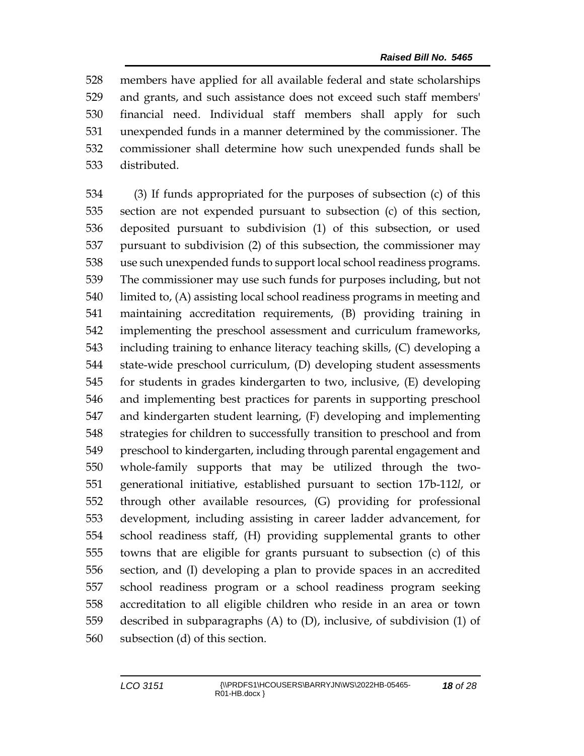members have applied for all available federal and state scholarships and grants, and such assistance does not exceed such staff members' financial need. Individual staff members shall apply for such unexpended funds in a manner determined by the commissioner. The commissioner shall determine how such unexpended funds shall be distributed.

 (3) If funds appropriated for the purposes of subsection (c) of this section are not expended pursuant to subsection (c) of this section, deposited pursuant to subdivision (1) of this subsection, or used pursuant to subdivision (2) of this subsection, the commissioner may use such unexpended funds to support local school readiness programs. The commissioner may use such funds for purposes including, but not limited to, (A) assisting local school readiness programs in meeting and maintaining accreditation requirements, (B) providing training in implementing the preschool assessment and curriculum frameworks, including training to enhance literacy teaching skills, (C) developing a state-wide preschool curriculum, (D) developing student assessments for students in grades kindergarten to two, inclusive, (E) developing and implementing best practices for parents in supporting preschool and kindergarten student learning, (F) developing and implementing strategies for children to successfully transition to preschool and from preschool to kindergarten, including through parental engagement and whole-family supports that may be utilized through the two- generational initiative, established pursuant to section 17b-112*l*, or through other available resources, (G) providing for professional development, including assisting in career ladder advancement, for school readiness staff, (H) providing supplemental grants to other towns that are eligible for grants pursuant to subsection (c) of this section, and (I) developing a plan to provide spaces in an accredited school readiness program or a school readiness program seeking accreditation to all eligible children who reside in an area or town described in subparagraphs (A) to (D), inclusive, of subdivision (1) of subsection (d) of this section.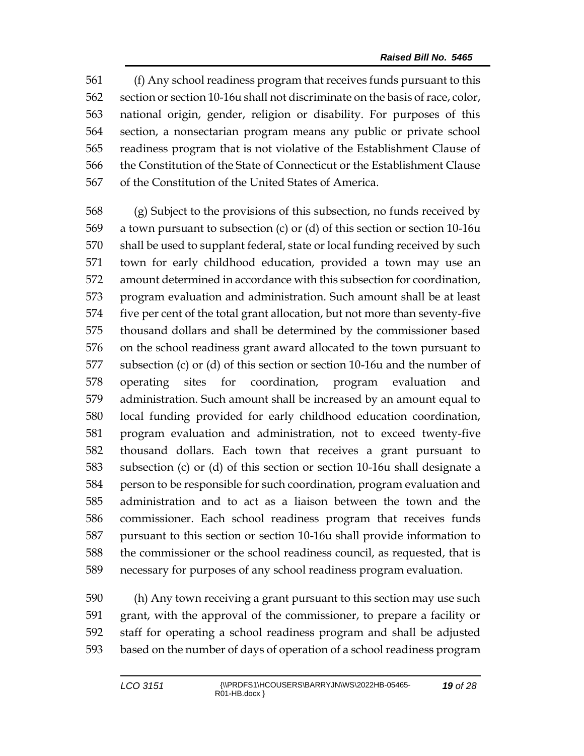(f) Any school readiness program that receives funds pursuant to this section or section 10-16u shall not discriminate on the basis of race, color, national origin, gender, religion or disability. For purposes of this section, a nonsectarian program means any public or private school readiness program that is not violative of the Establishment Clause of the Constitution of the State of Connecticut or the Establishment Clause of the Constitution of the United States of America.

 (g) Subject to the provisions of this subsection, no funds received by a town pursuant to subsection (c) or (d) of this section or section 10-16u shall be used to supplant federal, state or local funding received by such town for early childhood education, provided a town may use an amount determined in accordance with this subsection for coordination, program evaluation and administration. Such amount shall be at least five per cent of the total grant allocation, but not more than seventy-five thousand dollars and shall be determined by the commissioner based on the school readiness grant award allocated to the town pursuant to subsection (c) or (d) of this section or section 10-16u and the number of operating sites for coordination, program evaluation and administration. Such amount shall be increased by an amount equal to local funding provided for early childhood education coordination, program evaluation and administration, not to exceed twenty-five thousand dollars. Each town that receives a grant pursuant to subsection (c) or (d) of this section or section 10-16u shall designate a person to be responsible for such coordination, program evaluation and administration and to act as a liaison between the town and the commissioner. Each school readiness program that receives funds pursuant to this section or section 10-16u shall provide information to the commissioner or the school readiness council, as requested, that is necessary for purposes of any school readiness program evaluation.

 (h) Any town receiving a grant pursuant to this section may use such grant, with the approval of the commissioner, to prepare a facility or staff for operating a school readiness program and shall be adjusted based on the number of days of operation of a school readiness program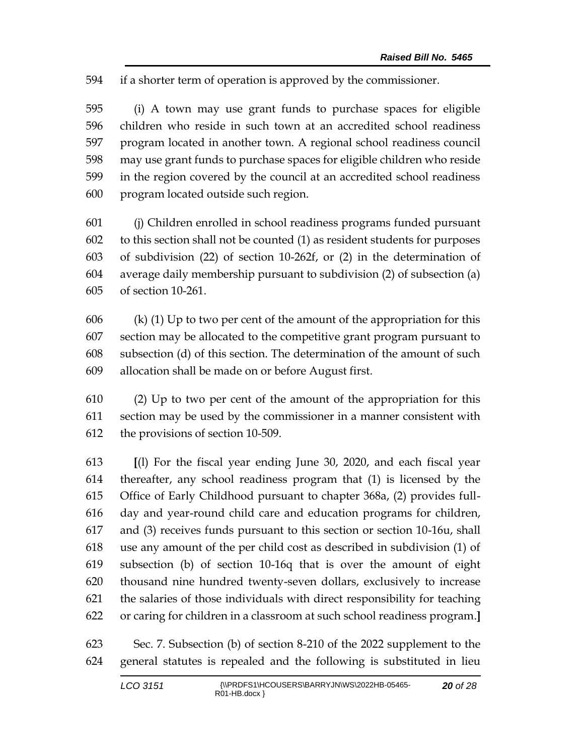if a shorter term of operation is approved by the commissioner.

 (i) A town may use grant funds to purchase spaces for eligible children who reside in such town at an accredited school readiness program located in another town. A regional school readiness council may use grant funds to purchase spaces for eligible children who reside in the region covered by the council at an accredited school readiness program located outside such region.

 (j) Children enrolled in school readiness programs funded pursuant to this section shall not be counted (1) as resident students for purposes of subdivision (22) of section 10-262f, or (2) in the determination of average daily membership pursuant to subdivision (2) of subsection (a) of section 10-261.

606 (k) (1) Up to two per cent of the amount of the appropriation for this section may be allocated to the competitive grant program pursuant to subsection (d) of this section. The determination of the amount of such allocation shall be made on or before August first.

 (2) Up to two per cent of the amount of the appropriation for this section may be used by the commissioner in a manner consistent with the provisions of section 10-509.

 **[**(l) For the fiscal year ending June 30, 2020, and each fiscal year thereafter, any school readiness program that (1) is licensed by the Office of Early Childhood pursuant to chapter 368a, (2) provides full- day and year-round child care and education programs for children, and (3) receives funds pursuant to this section or section 10-16u, shall use any amount of the per child cost as described in subdivision (1) of subsection (b) of section 10-16q that is over the amount of eight thousand nine hundred twenty-seven dollars, exclusively to increase the salaries of those individuals with direct responsibility for teaching or caring for children in a classroom at such school readiness program.**]**

 Sec. 7. Subsection (b) of section 8-210 of the 2022 supplement to the general statutes is repealed and the following is substituted in lieu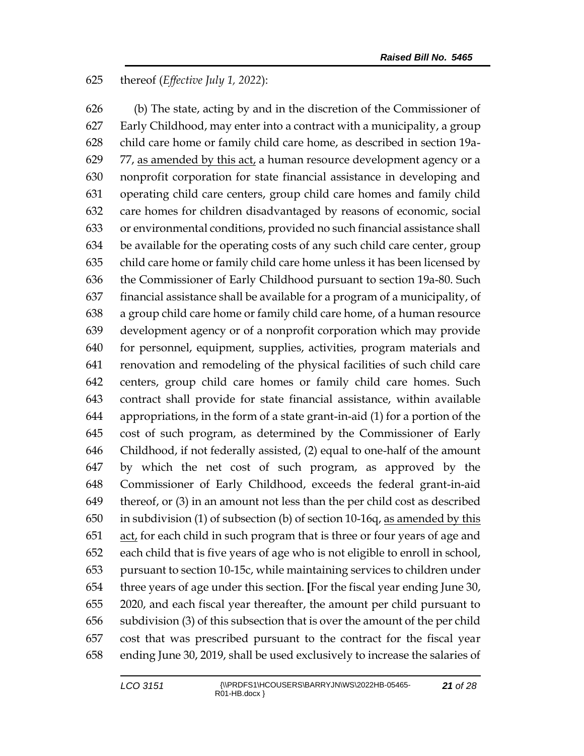### thereof (*Effective July 1, 2022*):

 (b) The state, acting by and in the discretion of the Commissioner of Early Childhood, may enter into a contract with a municipality, a group child care home or family child care home, as described in section 19a-629 77, as amended by this act, a human resource development agency or a nonprofit corporation for state financial assistance in developing and operating child care centers, group child care homes and family child care homes for children disadvantaged by reasons of economic, social or environmental conditions, provided no such financial assistance shall be available for the operating costs of any such child care center, group child care home or family child care home unless it has been licensed by the Commissioner of Early Childhood pursuant to section 19a-80. Such financial assistance shall be available for a program of a municipality, of a group child care home or family child care home, of a human resource development agency or of a nonprofit corporation which may provide for personnel, equipment, supplies, activities, program materials and renovation and remodeling of the physical facilities of such child care centers, group child care homes or family child care homes. Such contract shall provide for state financial assistance, within available appropriations, in the form of a state grant-in-aid (1) for a portion of the cost of such program, as determined by the Commissioner of Early Childhood, if not federally assisted, (2) equal to one-half of the amount by which the net cost of such program, as approved by the Commissioner of Early Childhood, exceeds the federal grant-in-aid thereof, or (3) in an amount not less than the per child cost as described in subdivision (1) of subsection (b) of section 10-16q, as amended by this act, for each child in such program that is three or four years of age and each child that is five years of age who is not eligible to enroll in school, pursuant to section 10-15c, while maintaining services to children under three years of age under this section. **[**For the fiscal year ending June 30, 2020, and each fiscal year thereafter, the amount per child pursuant to subdivision (3) of this subsection that is over the amount of the per child cost that was prescribed pursuant to the contract for the fiscal year ending June 30, 2019, shall be used exclusively to increase the salaries of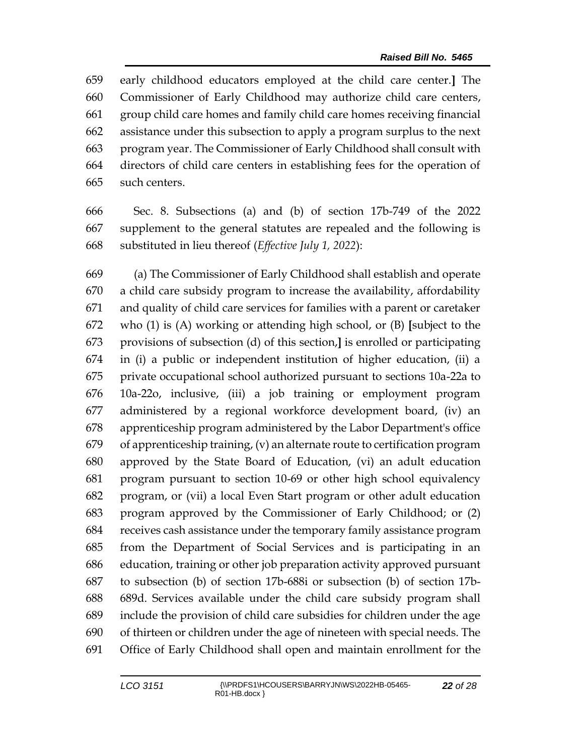early childhood educators employed at the child care center.**]** The Commissioner of Early Childhood may authorize child care centers, group child care homes and family child care homes receiving financial assistance under this subsection to apply a program surplus to the next program year. The Commissioner of Early Childhood shall consult with directors of child care centers in establishing fees for the operation of such centers.

 Sec. 8. Subsections (a) and (b) of section 17b-749 of the 2022 supplement to the general statutes are repealed and the following is substituted in lieu thereof (*Effective July 1, 2022*):

 (a) The Commissioner of Early Childhood shall establish and operate a child care subsidy program to increase the availability, affordability and quality of child care services for families with a parent or caretaker who (1) is (A) working or attending high school, or (B) **[**subject to the provisions of subsection (d) of this section,**]** is enrolled or participating in (i) a public or independent institution of higher education, (ii) a private occupational school authorized pursuant to sections 10a-22a to 10a-22o, inclusive, (iii) a job training or employment program administered by a regional workforce development board, (iv) an apprenticeship program administered by the Labor Department's office of apprenticeship training, (v) an alternate route to certification program approved by the State Board of Education, (vi) an adult education program pursuant to section 10-69 or other high school equivalency program, or (vii) a local Even Start program or other adult education program approved by the Commissioner of Early Childhood; or (2) receives cash assistance under the temporary family assistance program from the Department of Social Services and is participating in an education, training or other job preparation activity approved pursuant to subsection (b) of section 17b-688i or subsection (b) of section 17b- 689d. Services available under the child care subsidy program shall include the provision of child care subsidies for children under the age of thirteen or children under the age of nineteen with special needs. The Office of Early Childhood shall open and maintain enrollment for the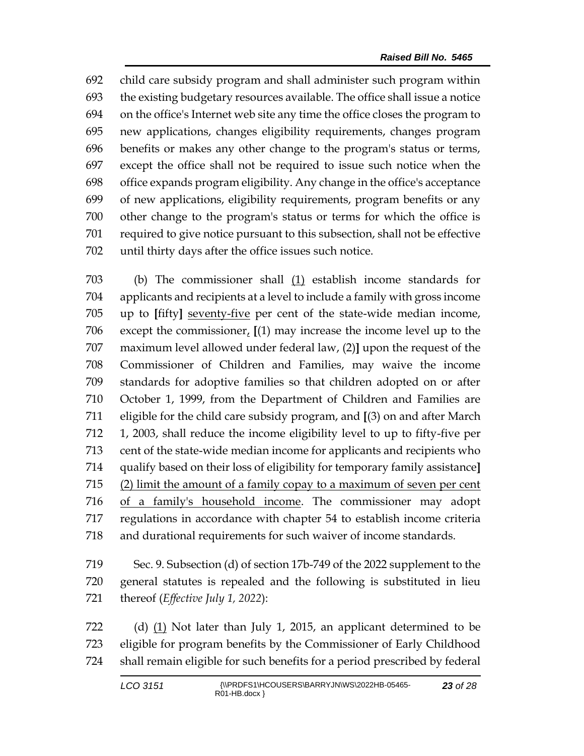child care subsidy program and shall administer such program within the existing budgetary resources available. The office shall issue a notice on the office's Internet web site any time the office closes the program to new applications, changes eligibility requirements, changes program benefits or makes any other change to the program's status or terms, except the office shall not be required to issue such notice when the office expands program eligibility. Any change in the office's acceptance of new applications, eligibility requirements, program benefits or any other change to the program's status or terms for which the office is required to give notice pursuant to this subsection, shall not be effective until thirty days after the office issues such notice.

 (b) The commissioner shall (1) establish income standards for applicants and recipients at a level to include a family with gross income up to **[**fifty**]** seventy-five per cent of the state-wide median income, except the commissioner, **[**(1) may increase the income level up to the maximum level allowed under federal law, (2)**]** upon the request of the Commissioner of Children and Families, may waive the income standards for adoptive families so that children adopted on or after October 1, 1999, from the Department of Children and Families are eligible for the child care subsidy program, and **[**(3) on and after March 1, 2003, shall reduce the income eligibility level to up to fifty-five per cent of the state-wide median income for applicants and recipients who qualify based on their loss of eligibility for temporary family assistance**]** (2) limit the amount of a family copay to a maximum of seven per cent of a family's household income. The commissioner may adopt regulations in accordance with chapter 54 to establish income criteria and durational requirements for such waiver of income standards.

 Sec. 9. Subsection (d) of section 17b-749 of the 2022 supplement to the general statutes is repealed and the following is substituted in lieu thereof (*Effective July 1, 2022*):

 (d) (1) Not later than July 1, 2015, an applicant determined to be eligible for program benefits by the Commissioner of Early Childhood shall remain eligible for such benefits for a period prescribed by federal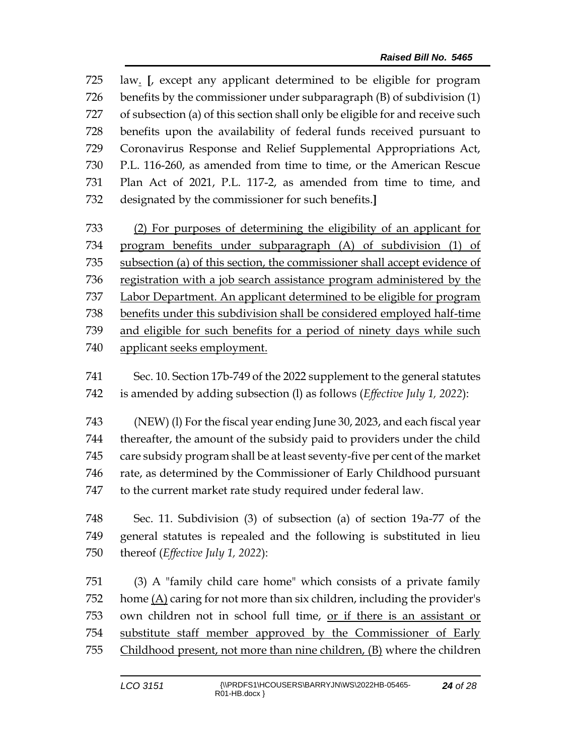law. **[**, except any applicant determined to be eligible for program benefits by the commissioner under subparagraph (B) of subdivision (1) of subsection (a) of this section shall only be eligible for and receive such benefits upon the availability of federal funds received pursuant to Coronavirus Response and Relief Supplemental Appropriations Act, P.L. 116-260, as amended from time to time, or the American Rescue Plan Act of 2021, P.L. 117-2, as amended from time to time, and designated by the commissioner for such benefits.**]**

 (2) For purposes of determining the eligibility of an applicant for program benefits under subparagraph (A) of subdivision (1) of subsection (a) of this section, the commissioner shall accept evidence of registration with a job search assistance program administered by the Labor Department. An applicant determined to be eligible for program benefits under this subdivision shall be considered employed half-time and eligible for such benefits for a period of ninety days while such applicant seeks employment.

 Sec. 10. Section 17b-749 of the 2022 supplement to the general statutes is amended by adding subsection (l) as follows (*Effective July 1, 2022*):

 (NEW) (l) For the fiscal year ending June 30, 2023, and each fiscal year thereafter, the amount of the subsidy paid to providers under the child care subsidy program shall be at least seventy-five per cent of the market rate, as determined by the Commissioner of Early Childhood pursuant to the current market rate study required under federal law.

 Sec. 11. Subdivision (3) of subsection (a) of section 19a-77 of the general statutes is repealed and the following is substituted in lieu thereof (*Effective July 1, 2022*):

 (3) A "family child care home" which consists of a private family home (A) caring for not more than six children, including the provider's own children not in school full time, or if there is an assistant or substitute staff member approved by the Commissioner of Early Childhood present, not more than nine children, (B) where the children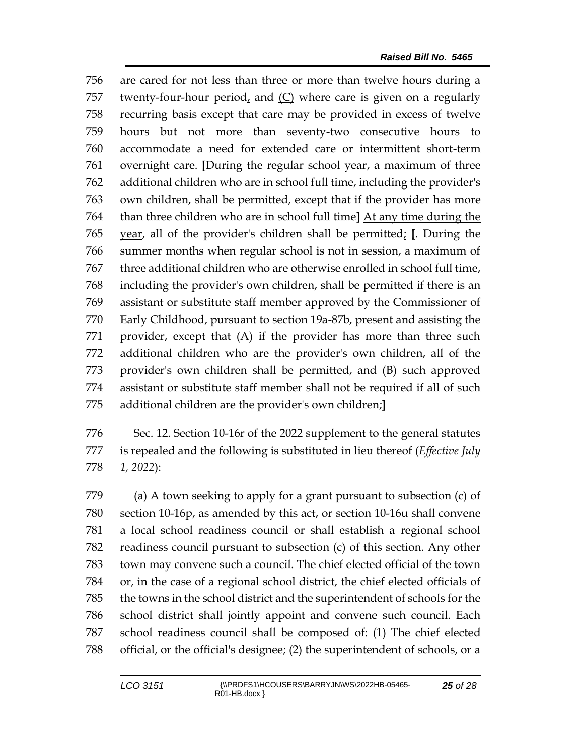are cared for not less than three or more than twelve hours during a twenty-four-hour period, and (C) where care is given on a regularly recurring basis except that care may be provided in excess of twelve hours but not more than seventy-two consecutive hours to accommodate a need for extended care or intermittent short-term overnight care. **[**During the regular school year, a maximum of three additional children who are in school full time, including the provider's own children, shall be permitted, except that if the provider has more than three children who are in school full time**]** At any time during the year, all of the provider's children shall be permitted; **[**. During the summer months when regular school is not in session, a maximum of three additional children who are otherwise enrolled in school full time, including the provider's own children, shall be permitted if there is an assistant or substitute staff member approved by the Commissioner of Early Childhood, pursuant to section 19a-87b, present and assisting the provider, except that (A) if the provider has more than three such additional children who are the provider's own children, all of the provider's own children shall be permitted, and (B) such approved assistant or substitute staff member shall not be required if all of such additional children are the provider's own children;**]**

 Sec. 12. Section 10-16r of the 2022 supplement to the general statutes is repealed and the following is substituted in lieu thereof (*Effective July 1, 2022*):

 (a) A town seeking to apply for a grant pursuant to subsection (c) of section 10-16p, as amended by this act, or section 10-16u shall convene a local school readiness council or shall establish a regional school readiness council pursuant to subsection (c) of this section. Any other town may convene such a council. The chief elected official of the town or, in the case of a regional school district, the chief elected officials of the towns in the school district and the superintendent of schools for the school district shall jointly appoint and convene such council. Each school readiness council shall be composed of: (1) The chief elected official, or the official's designee; (2) the superintendent of schools, or a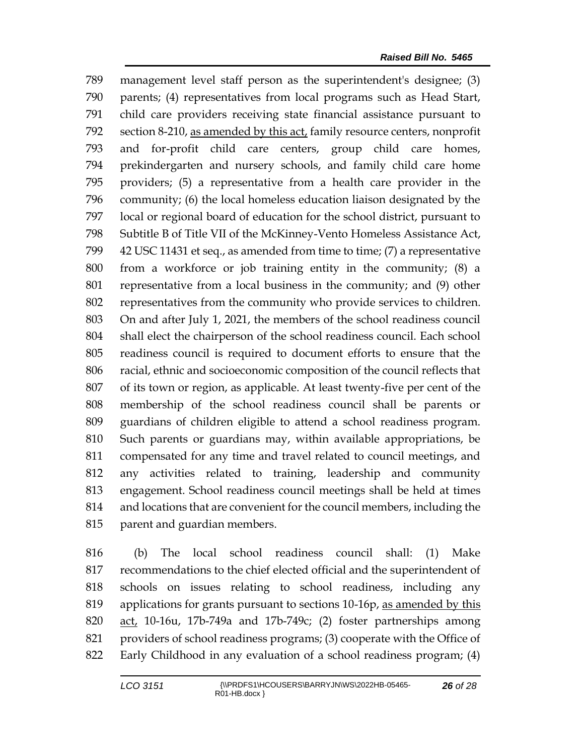management level staff person as the superintendent's designee; (3) parents; (4) representatives from local programs such as Head Start, child care providers receiving state financial assistance pursuant to section 8-210, as amended by this act, family resource centers, nonprofit and for-profit child care centers, group child care homes, prekindergarten and nursery schools, and family child care home providers; (5) a representative from a health care provider in the community; (6) the local homeless education liaison designated by the local or regional board of education for the school district, pursuant to Subtitle B of Title VII of the McKinney-Vento Homeless Assistance Act, 42 USC 11431 et seq., as amended from time to time; (7) a representative from a workforce or job training entity in the community; (8) a representative from a local business in the community; and (9) other representatives from the community who provide services to children. On and after July 1, 2021, the members of the school readiness council shall elect the chairperson of the school readiness council. Each school readiness council is required to document efforts to ensure that the racial, ethnic and socioeconomic composition of the council reflects that of its town or region, as applicable. At least twenty-five per cent of the membership of the school readiness council shall be parents or guardians of children eligible to attend a school readiness program. Such parents or guardians may, within available appropriations, be compensated for any time and travel related to council meetings, and any activities related to training, leadership and community engagement. School readiness council meetings shall be held at times and locations that are convenient for the council members, including the parent and guardian members.

 (b) The local school readiness council shall: (1) Make recommendations to the chief elected official and the superintendent of schools on issues relating to school readiness, including any applications for grants pursuant to sections 10-16p, as amended by this act, 10-16u, 17b-749a and 17b-749c; (2) foster partnerships among providers of school readiness programs; (3) cooperate with the Office of Early Childhood in any evaluation of a school readiness program; (4)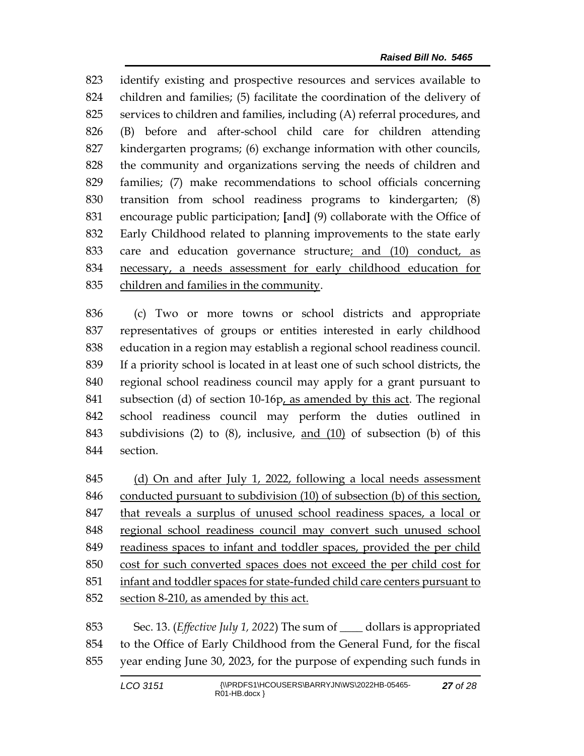identify existing and prospective resources and services available to children and families; (5) facilitate the coordination of the delivery of services to children and families, including (A) referral procedures, and (B) before and after-school child care for children attending kindergarten programs; (6) exchange information with other councils, the community and organizations serving the needs of children and families; (7) make recommendations to school officials concerning transition from school readiness programs to kindergarten; (8) encourage public participation; **[**and**]** (9) collaborate with the Office of Early Childhood related to planning improvements to the state early care and education governance structure; and (10) conduct, as necessary, a needs assessment for early childhood education for children and families in the community.

 (c) Two or more towns or school districts and appropriate representatives of groups or entities interested in early childhood education in a region may establish a regional school readiness council. If a priority school is located in at least one of such school districts, the regional school readiness council may apply for a grant pursuant to subsection (d) of section 10-16p, as amended by this act. The regional school readiness council may perform the duties outlined in subdivisions (2) to (8), inclusive, and (10) of subsection (b) of this section.

 (d) On and after July 1, 2022, following a local needs assessment conducted pursuant to subdivision (10) of subsection (b) of this section, that reveals a surplus of unused school readiness spaces, a local or regional school readiness council may convert such unused school readiness spaces to infant and toddler spaces, provided the per child cost for such converted spaces does not exceed the per child cost for infant and toddler spaces for state-funded child care centers pursuant to section 8-210, as amended by this act.

 Sec. 13. (*Effective July 1, 2022*) The sum of \_\_\_\_ dollars is appropriated to the Office of Early Childhood from the General Fund, for the fiscal year ending June 30, 2023, for the purpose of expending such funds in